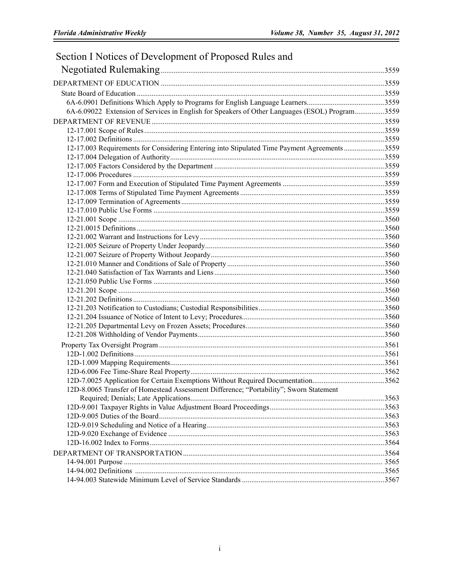| Section I Notices of Development of Proposed Rules and                                         |  |
|------------------------------------------------------------------------------------------------|--|
|                                                                                                |  |
|                                                                                                |  |
|                                                                                                |  |
|                                                                                                |  |
| 6A-6.09022 Extension of Services in English for Speakers of Other Languages (ESOL) Program3559 |  |
|                                                                                                |  |
|                                                                                                |  |
|                                                                                                |  |
| 12-17.003 Requirements for Considering Entering into Stipulated Time Payment Agreements3559    |  |
|                                                                                                |  |
|                                                                                                |  |
|                                                                                                |  |
|                                                                                                |  |
|                                                                                                |  |
|                                                                                                |  |
|                                                                                                |  |
|                                                                                                |  |
|                                                                                                |  |
|                                                                                                |  |
|                                                                                                |  |
|                                                                                                |  |
|                                                                                                |  |
|                                                                                                |  |
|                                                                                                |  |
|                                                                                                |  |
|                                                                                                |  |
|                                                                                                |  |
|                                                                                                |  |
|                                                                                                |  |
|                                                                                                |  |
|                                                                                                |  |
|                                                                                                |  |
|                                                                                                |  |
|                                                                                                |  |
| 12D-7.0025 Application for Certain Exemptions Without Required Documentation3562               |  |
| 12D-8.0065 Transfer of Homestead Assessment Difference; "Portability"; Sworn Statement         |  |
|                                                                                                |  |
|                                                                                                |  |
|                                                                                                |  |
|                                                                                                |  |
|                                                                                                |  |
|                                                                                                |  |
|                                                                                                |  |
|                                                                                                |  |
|                                                                                                |  |
|                                                                                                |  |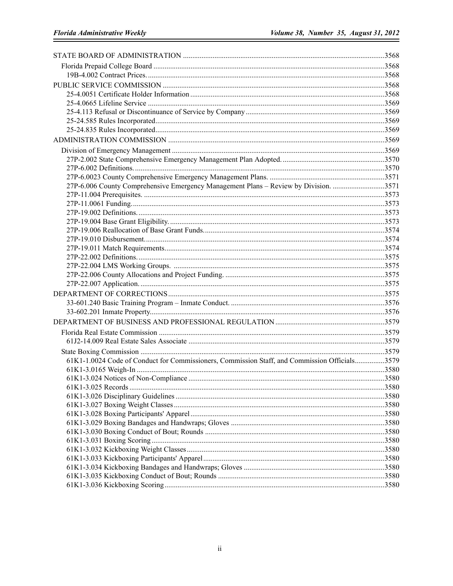| 27P-6.006 County Comprehensive Emergency Management Plans - Review by Division. 3571          |  |
|-----------------------------------------------------------------------------------------------|--|
|                                                                                               |  |
|                                                                                               |  |
|                                                                                               |  |
|                                                                                               |  |
|                                                                                               |  |
|                                                                                               |  |
|                                                                                               |  |
|                                                                                               |  |
|                                                                                               |  |
|                                                                                               |  |
|                                                                                               |  |
|                                                                                               |  |
|                                                                                               |  |
|                                                                                               |  |
|                                                                                               |  |
|                                                                                               |  |
|                                                                                               |  |
|                                                                                               |  |
| 61K1-1.0024 Code of Conduct for Commissioners, Commission Staff, and Commission Officials3579 |  |
|                                                                                               |  |
|                                                                                               |  |
|                                                                                               |  |
|                                                                                               |  |
|                                                                                               |  |
|                                                                                               |  |
|                                                                                               |  |
|                                                                                               |  |
|                                                                                               |  |
|                                                                                               |  |
|                                                                                               |  |
|                                                                                               |  |
|                                                                                               |  |
|                                                                                               |  |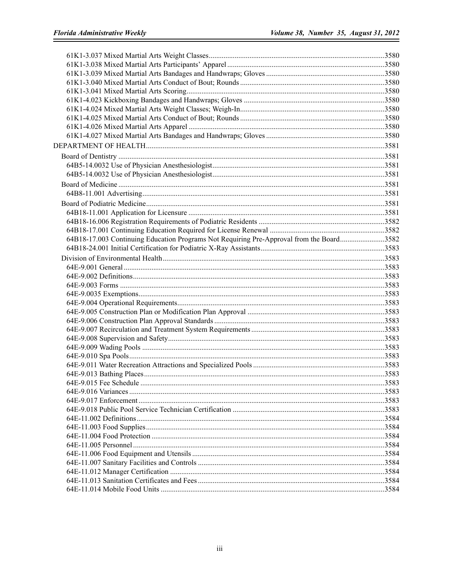| 64B18-17.003 Continuing Education Programs Not Requiring Pre-Approval from the Board3582 |  |
|------------------------------------------------------------------------------------------|--|
|                                                                                          |  |
|                                                                                          |  |
|                                                                                          |  |
|                                                                                          |  |
|                                                                                          |  |
|                                                                                          |  |
|                                                                                          |  |
|                                                                                          |  |
|                                                                                          |  |
|                                                                                          |  |
|                                                                                          |  |
|                                                                                          |  |
|                                                                                          |  |
|                                                                                          |  |
|                                                                                          |  |
|                                                                                          |  |
|                                                                                          |  |
|                                                                                          |  |
|                                                                                          |  |
|                                                                                          |  |
|                                                                                          |  |
|                                                                                          |  |
|                                                                                          |  |
|                                                                                          |  |
|                                                                                          |  |
|                                                                                          |  |
|                                                                                          |  |
|                                                                                          |  |
|                                                                                          |  |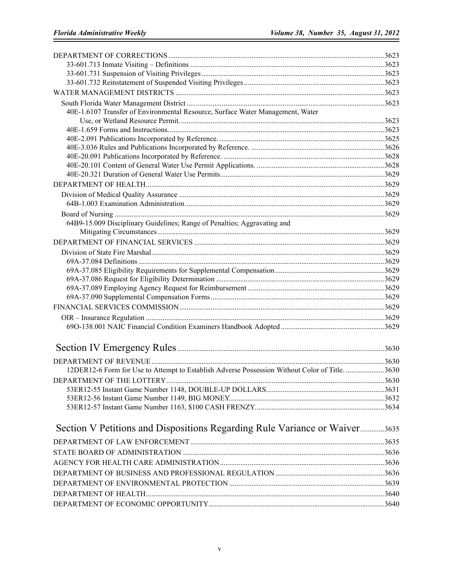| 40E-1.6107 Transfer of Environmental Resource, Surface Water Management, Water               |      |
|----------------------------------------------------------------------------------------------|------|
|                                                                                              |      |
|                                                                                              |      |
|                                                                                              |      |
|                                                                                              |      |
|                                                                                              |      |
|                                                                                              |      |
|                                                                                              |      |
|                                                                                              |      |
|                                                                                              |      |
|                                                                                              |      |
| 64B9-15.009 Disciplinary Guidelines; Range of Penalties; Aggravating and                     |      |
|                                                                                              |      |
|                                                                                              |      |
|                                                                                              |      |
|                                                                                              |      |
|                                                                                              |      |
|                                                                                              |      |
|                                                                                              |      |
|                                                                                              |      |
|                                                                                              |      |
|                                                                                              |      |
|                                                                                              |      |
|                                                                                              |      |
|                                                                                              |      |
| 12DER12-6 Form for Use to Attempt to Establish Adverse Possession Without Color of Title3630 |      |
|                                                                                              |      |
|                                                                                              | 3630 |
|                                                                                              |      |
|                                                                                              |      |
| Section V Petitions and Dispositions Regarding Rule Variance or Waiver3635                   |      |
|                                                                                              |      |
|                                                                                              |      |
|                                                                                              |      |
|                                                                                              |      |
|                                                                                              |      |
|                                                                                              |      |
|                                                                                              |      |
|                                                                                              |      |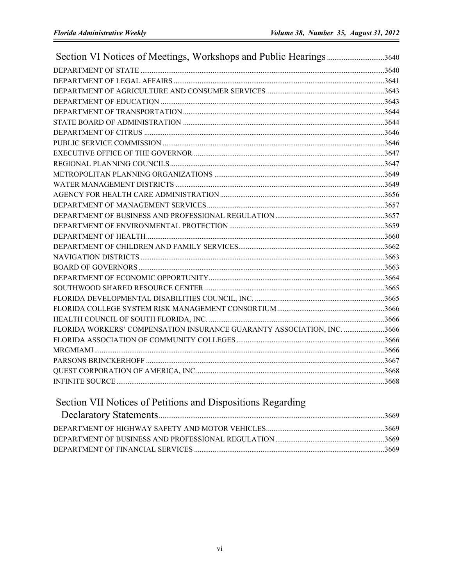| FLORIDA WORKERS' COMPENSATION INSURANCE GUARANTY ASSOCIATION, INC. 3666 |  |
|-------------------------------------------------------------------------|--|
|                                                                         |  |
|                                                                         |  |
|                                                                         |  |
|                                                                         |  |
|                                                                         |  |

## Section VII Notices of Petitions and Dispositions Regarding